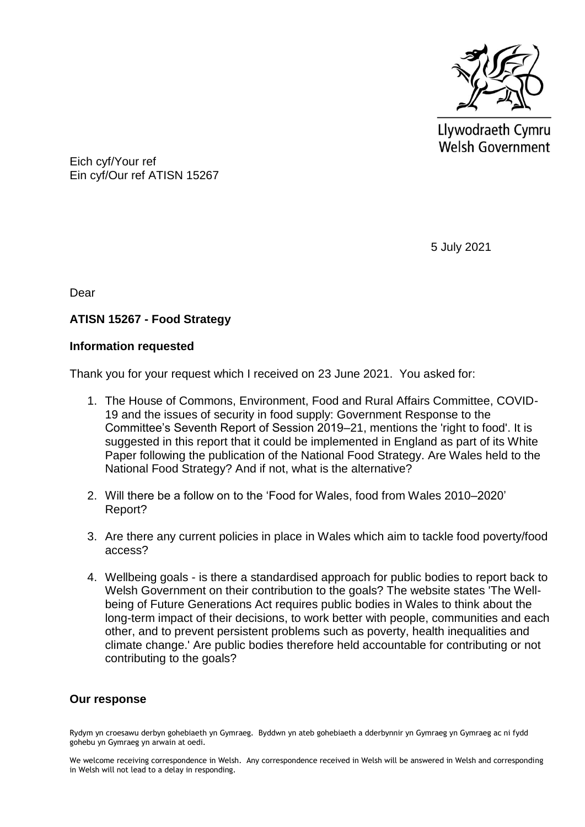

Llywodraeth Cymru Welsh Government

Eich cyf/Your ref Ein cyf/Our ref ATISN 15267

5 July 2021

Dear

# **ATISN 15267 - Food Strategy**

### **Information requested**

Thank you for your request which I received on 23 June 2021. You asked for:

- 1. The House of Commons, Environment, Food and Rural Affairs Committee, COVID-19 and the issues of security in food supply: Government Response to the Committee's Seventh Report of Session 2019–21, mentions the 'right to food'. It is suggested in this report that it could be implemented in England as part of its White Paper following the publication of the National Food Strategy. Are Wales held to the National Food Strategy? And if not, what is the alternative?
- 2. Will there be a follow on to the 'Food for Wales, food from Wales 2010–2020' Report?
- 3. Are there any current policies in place in Wales which aim to tackle food poverty/food access?
- 4. Wellbeing goals is there a standardised approach for public bodies to report back to Welsh Government on their contribution to the goals? The website states 'The Wellbeing of Future Generations Act requires public bodies in Wales to think about the long-term impact of their decisions, to work better with people, communities and each other, and to prevent persistent problems such as poverty, health inequalities and climate change.' Are public bodies therefore held accountable for contributing or not contributing to the goals?

## **Our response**

Rydym yn croesawu derbyn gohebiaeth yn Gymraeg. Byddwn yn ateb gohebiaeth a dderbynnir yn Gymraeg yn Gymraeg ac ni fydd gohebu yn Gymraeg yn arwain at oedi.

We welcome receiving correspondence in Welsh. Any correspondence received in Welsh will be answered in Welsh and corresponding in Welsh will not lead to a delay in responding.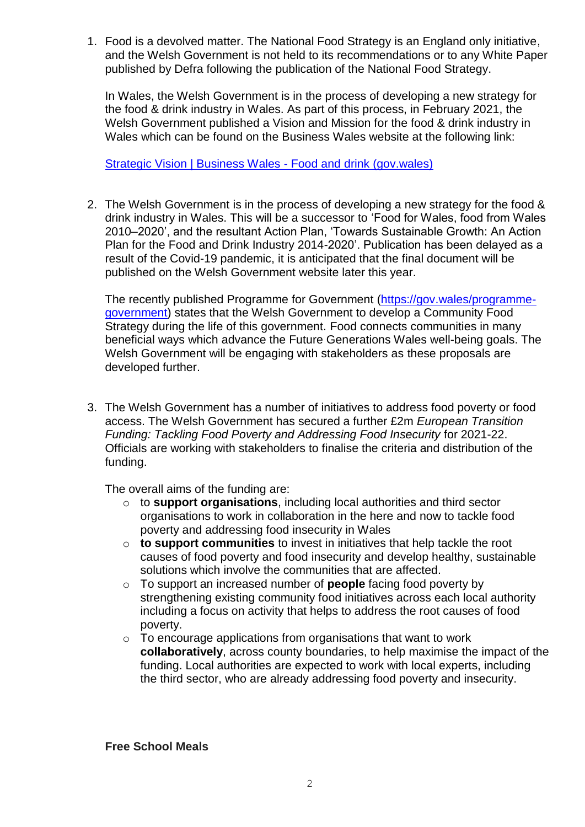1. Food is a devolved matter. The National Food Strategy is an England only initiative, and the Welsh Government is not held to its recommendations or to any White Paper published by Defra following the publication of the National Food Strategy.

In Wales, the Welsh Government is in the process of developing a new strategy for the food & drink industry in Wales. As part of this process, in February 2021, the Welsh Government published a Vision and Mission for the food & drink industry in Wales which can be found on the Business Wales website at the following link:

[Strategic Vision | Business Wales -](https://businesswales.gov.wales/foodanddrink/strategic-vision) Food and drink (gov.wales)

2. The Welsh Government is in the process of developing a new strategy for the food & drink industry in Wales. This will be a successor to 'Food for Wales, food from Wales 2010–2020', and the resultant Action Plan, 'Towards Sustainable Growth: An Action Plan for the Food and Drink Industry 2014-2020'. Publication has been delayed as a result of the Covid-19 pandemic, it is anticipated that the final document will be published on the Welsh Government website later this year.

The recently published Programme for Government [\(https://gov.wales/programme](https://gov.wales/programme-government)[government\)](https://gov.wales/programme-government) states that the Welsh Government to develop a Community Food Strategy during the life of this government. Food connects communities in many beneficial ways which advance the Future Generations Wales well-being goals. The Welsh Government will be engaging with stakeholders as these proposals are developed further.

3. The Welsh Government has a number of initiatives to address food poverty or food access. The Welsh Government has secured a further £2m *European Transition Funding: Tackling Food Poverty and Addressing Food Insecurity* for 2021-22. Officials are working with stakeholders to finalise the criteria and distribution of the funding.

The overall aims of the funding are:

- o to **support organisations**, including local authorities and third sector organisations to work in collaboration in the here and now to tackle food poverty and addressing food insecurity in Wales
- o **to support communities** to invest in initiatives that help tackle the root causes of food poverty and food insecurity and develop healthy, sustainable solutions which involve the communities that are affected.
- o To support an increased number of **people** facing food poverty by strengthening existing community food initiatives across each local authority including a focus on activity that helps to address the root causes of food poverty.
- o To encourage applications from organisations that want to work **collaboratively**, across county boundaries, to help maximise the impact of the funding. Local authorities are expected to work with local experts, including the third sector, who are already addressing food poverty and insecurity.

**Free School Meals**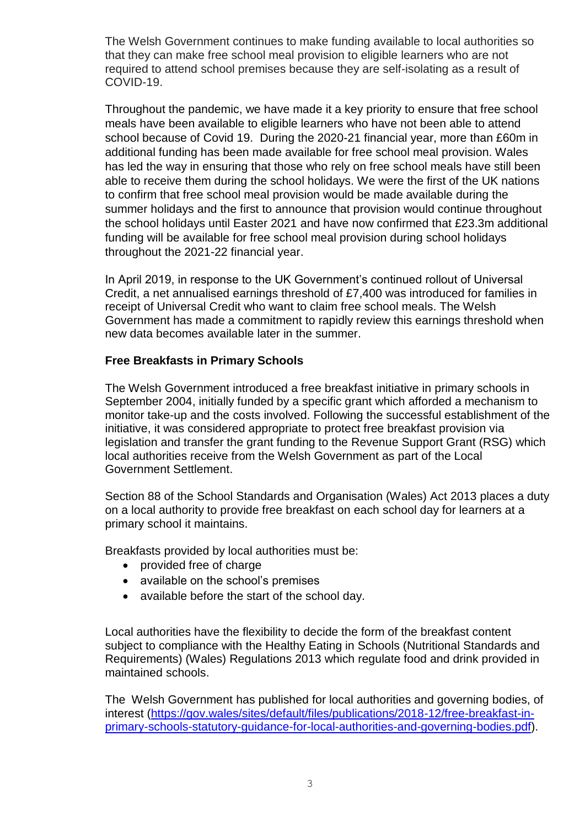The Welsh Government continues to make funding available to local authorities so that they can make free school meal provision to eligible learners who are not required to attend school premises because they are self-isolating as a result of COVID-19.

Throughout the pandemic, we have made it a key priority to ensure that free school meals have been available to eligible learners who have not been able to attend school because of Covid 19. During the 2020-21 financial year, more than £60m in additional funding has been made available for free school meal provision. Wales has led the way in ensuring that those who rely on free school meals have still been able to receive them during the school holidays. We were the first of the UK nations to confirm that free school meal provision would be made available during the summer holidays and the first to announce that provision would continue throughout the school holidays until Easter 2021 and have now confirmed that £23.3m additional funding will be available for free school meal provision during school holidays throughout the 2021-22 financial year.

In April 2019, in response to the UK Government's continued rollout of Universal Credit, a net annualised earnings threshold of £7,400 was introduced for families in receipt of Universal Credit who want to claim free school meals. The Welsh Government has made a commitment to rapidly review this earnings threshold when new data becomes available later in the summer.

### **Free Breakfasts in Primary Schools**

The Welsh Government introduced a free breakfast initiative in primary schools in September 2004, initially funded by a specific grant which afforded a mechanism to monitor take-up and the costs involved. Following the successful establishment of the initiative, it was considered appropriate to protect free breakfast provision via legislation and transfer the grant funding to the Revenue Support Grant (RSG) which local authorities receive from the Welsh Government as part of the Local Government Settlement.

Section 88 of the School Standards and Organisation (Wales) Act 2013 places a duty on a local authority to provide free breakfast on each school day for learners at a primary school it maintains.

Breakfasts provided by local authorities must be:

- provided free of charge
- available on the school's premises
- available before the start of the school day.

Local authorities have the flexibility to decide the form of the breakfast content subject to compliance with the Healthy Eating in Schools (Nutritional Standards and Requirements) (Wales) Regulations 2013 which regulate food and drink provided in maintained schools.

The Welsh Government has published for local authorities and governing bodies, of interest [\(https://gov.wales/sites/default/files/publications/2018-12/free-breakfast-in](https://gov.wales/sites/default/files/publications/2018-12/free-breakfast-in-primary-schools-statutory-guidance-for-local-authorities-and-governing-bodies.pdf)[primary-schools-statutory-guidance-for-local-authorities-and-governing-bodies.pdf\)](https://gov.wales/sites/default/files/publications/2018-12/free-breakfast-in-primary-schools-statutory-guidance-for-local-authorities-and-governing-bodies.pdf).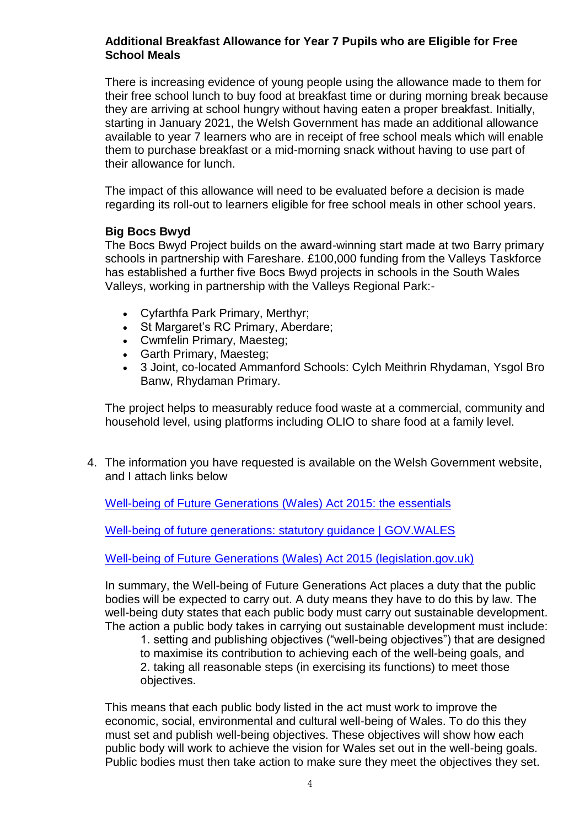### **Additional Breakfast Allowance for Year 7 Pupils who are Eligible for Free School Meals**

There is increasing evidence of young people using the allowance made to them for their free school lunch to buy food at breakfast time or during morning break because they are arriving at school hungry without having eaten a proper breakfast. Initially, starting in January 2021, the Welsh Government has made an additional allowance available to year 7 learners who are in receipt of free school meals which will enable them to purchase breakfast or a mid-morning snack without having to use part of their allowance for lunch.

The impact of this allowance will need to be evaluated before a decision is made regarding its roll-out to learners eligible for free school meals in other school years.

### **Big Bocs Bwyd**

The Bocs Bwyd Project builds on the award-winning start made at two Barry primary schools in partnership with Fareshare. £100,000 funding from the Valleys Taskforce has established a further five Bocs Bwyd projects in schools in the South Wales Valleys, working in partnership with the Valleys Regional Park:-

- Cyfarthfa Park Primary, Merthyr;
- St Margaret's RC Primary, Aberdare;
- Cwmfelin Primary, Maesteg;
- Garth Primary, Maesteg;
- 3 Joint, co-located Ammanford Schools: Cylch Meithrin Rhydaman, Ysgol Bro Banw, Rhydaman Primary.

The project helps to measurably reduce food waste at a commercial, community and household level, using platforms including OLIO to share food at a family level.

4. The information you have requested is available on the Welsh Government website, and I attach links below

[Well-being of Future Generations \(Wales\) Act 2015: the essentials](https://eur01.safelinks.protection.outlook.com/?url=https%3A%2F%2Fgov.wales%2Fwell-being-future-generations-act-essentials-html&data=04%7C01%7CNicholas.Shilton%40gov.wales%7C8f0c7c2495d842c4364208d9366054c4%7Ca2cc36c592804ae78887d06dab89216b%7C0%7C0%7C637600609622157912%7CUnknown%7CTWFpbGZsb3d8eyJWIjoiMC4wLjAwMDAiLCJQIjoiV2luMzIiLCJBTiI6Ik1haWwiLCJXVCI6Mn0%3D%7C1000&sdata=rO6ngen8pLKRQPRdzwE6EctHisHDCoFDhUPrPzENLKk%3D&reserved=0)

[Well-being of future generations: statutory guidance | GOV.WALES](https://eur01.safelinks.protection.outlook.com/?url=https%3A%2F%2Fgov.wales%2Fwell-being-future-generations-statutory-guidance&data=04%7C01%7CNicholas.Shilton%40gov.wales%7C8f0c7c2495d842c4364208d9366054c4%7Ca2cc36c592804ae78887d06dab89216b%7C0%7C0%7C637600609622167914%7CUnknown%7CTWFpbGZsb3d8eyJWIjoiMC4wLjAwMDAiLCJQIjoiV2luMzIiLCJBTiI6Ik1haWwiLCJXVCI6Mn0%3D%7C1000&sdata=31NGnV%2BeHavSh2SlBHa%2BW7ezEqbE%2F9QBeacBLuCDdZ8%3D&reserved=0)

[Well-being of Future Generations \(Wales\) Act 2015 \(legislation.gov.uk\)](https://eur01.safelinks.protection.outlook.com/?url=https%3A%2F%2Fwww.legislation.gov.uk%2Fanaw%2F2015%2F2%2Fsection%2F13&data=04%7C01%7CNicholas.Shilton%40gov.wales%7C8f0c7c2495d842c4364208d9366054c4%7Ca2cc36c592804ae78887d06dab89216b%7C0%7C0%7C637600609622167914%7CUnknown%7CTWFpbGZsb3d8eyJWIjoiMC4wLjAwMDAiLCJQIjoiV2luMzIiLCJBTiI6Ik1haWwiLCJXVCI6Mn0%3D%7C1000&sdata=PVqYpWRds25rqNdUXwcuM3zIyBlE%2BuaR934rlofnrr4%3D&reserved=0)

In summary, the Well-being of Future Generations Act places a duty that the public bodies will be expected to carry out. A duty means they have to do this by law. The well-being duty states that each public body must carry out sustainable development. The action a public body takes in carrying out sustainable development must include:

1. setting and publishing objectives ("well-being objectives") that are designed to maximise its contribution to achieving each of the well-being goals, and 2. taking all reasonable steps (in exercising its functions) to meet those objectives.

This means that each public body listed in the act must work to improve the economic, social, environmental and cultural well-being of Wales. To do this they must set and publish well-being objectives. These objectives will show how each public body will work to achieve the vision for Wales set out in the well-being goals. Public bodies must then take action to make sure they meet the objectives they set.